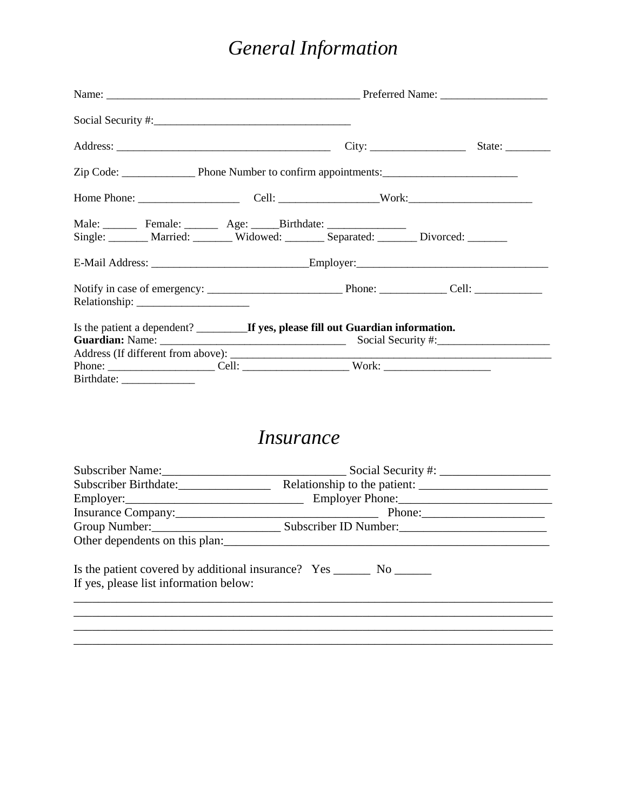## *General Information*

|                                                                                                                                                      |  | State: $\frac{\phantom{1}}{\phantom{1}}$ |  |  |
|------------------------------------------------------------------------------------------------------------------------------------------------------|--|------------------------------------------|--|--|
|                                                                                                                                                      |  |                                          |  |  |
|                                                                                                                                                      |  |                                          |  |  |
| Male: Female: Age: Birthdate:<br>Single: Married: Widowed: Separated: Divorced: Married: Married: Widowed: Married: Married: Widowed: New Separated: |  |                                          |  |  |
|                                                                                                                                                      |  |                                          |  |  |
|                                                                                                                                                      |  |                                          |  |  |
|                                                                                                                                                      |  |                                          |  |  |
|                                                                                                                                                      |  |                                          |  |  |

## *Insurance*

| Subscriber Birthdate:                                                                                               |  |  |  |  |  |
|---------------------------------------------------------------------------------------------------------------------|--|--|--|--|--|
|                                                                                                                     |  |  |  |  |  |
|                                                                                                                     |  |  |  |  |  |
|                                                                                                                     |  |  |  |  |  |
|                                                                                                                     |  |  |  |  |  |
| Is the patient covered by additional insurance? Yes _________ No ________<br>If yes, please list information below: |  |  |  |  |  |
|                                                                                                                     |  |  |  |  |  |
|                                                                                                                     |  |  |  |  |  |
|                                                                                                                     |  |  |  |  |  |